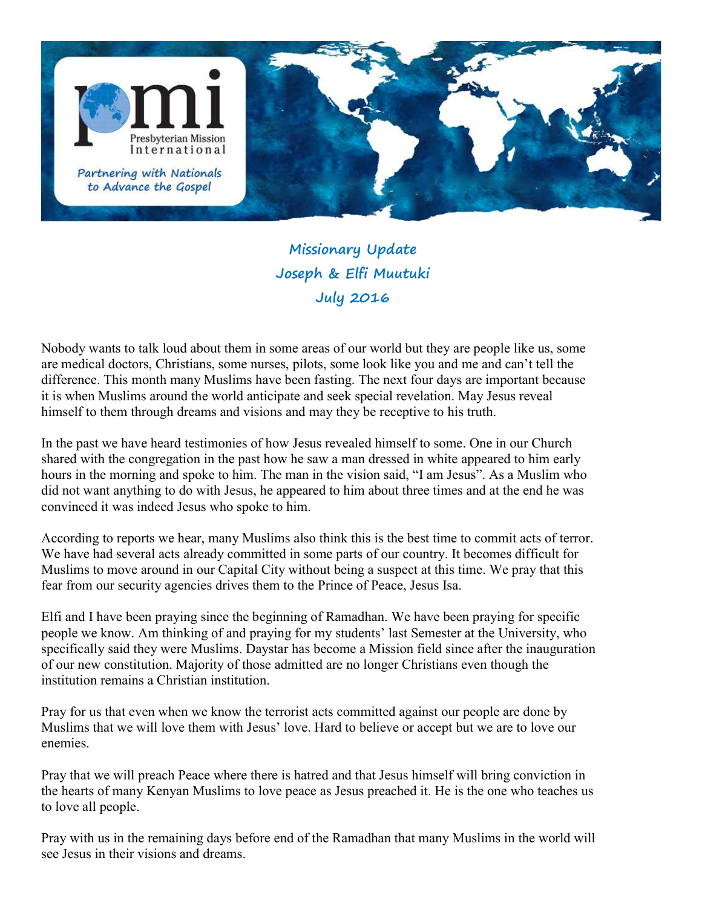

Missionary Update Joseph & Elfi Muutuki July 2016

Nobody wants to talk loud about them in some areas of our world but they are people like us, some are medical doctors, Christians, some nurses, pilots, some look like you and me and can't tell the difference. This month many Muslims have been fasting. The next four days are important because it is when Muslims around the world anticipate and seek special revelation. May Jesus reveal himself to them through dreams and visions and may they be receptive to his truth.

In the past we have heard testimonies of how Jesus revealed himself to some. One in our Church shared with the congregation in the past how he saw a man dressed in white appeared to him early hours in the morning and spoke to him. The man in the vision said, "I am Jesus". As a Muslim who did not want anything to do with Jesus, he appeared to him about three times and at the end he was convinced it was indeed Jesus who spoke to him.

According to reports we hear, many Muslims also think this is the best time to commit acts of terror. We have had several acts already committed in some parts of our country. It becomes difficult for Muslims to move around in our Capital City without being a suspect at this time. We pray that this fear from our security agencies drives them to the Prince of Peace, Jesus Isa.

Elfi and I have been praying since the beginning of Ramadhan. We have been praying for specific people we know. Am thinking of and praying for my students' last Semester at the University, who specifically said they were Muslims. Daystar has become a Mission field since after the inauguration of our new constitution. Majority of those admitted are no longer Christians even though the institution remains a Christian institution.

Pray for us that even when we know the terrorist acts committed against our people are done by Muslims that we will love them with Jesus' love. Hard to believe or accept but we are to love our enemies.

Pray that we will preach Peace where there is hatred and that Jesus himself will bring conviction in the hearts of many Kenyan Muslims to love peace as Jesus preached it. He is the one who teaches us to love all people.

Pray with us in the remaining days before end of the Ramadhan that many Muslims in the world will see Jesus in their visions and dreams.